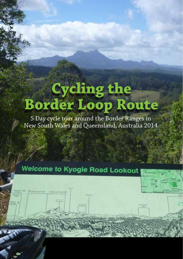# **Cycling the Border Loop Route**

5 Day cycle tour around the Border Ranges in New South Wales and Queensland, Australia 2014

# **Welcome to Kyogle Road Lookout**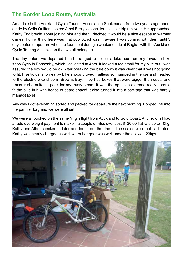#### **The Border Loop Route, Australia**

An article in the Auckland Cycle Touring Association Spokesman from two years ago about a ride by Colin Quilter inspired Athol Berry to consider a similar trip this year. He approached Kathy Englbrecht about joining him and then I decided it would be a nice escape to warmer climes. Funny thing here was that poor Athol wasn't aware I was coming with them until 3 days before departure when he found out during a weekend ride at Raglan with the Auckland Cycle Touring Association that we all belong to.

The day before we departed I had arranged to collect a bike box from my favourite bike shop Cyco in Ponsonby, which I collected at 4pm. It looked a tad small for my bike but I was assured the box would be ok. After breaking the bike down it was clear that it was not going to fit. Frantic calls to nearby bike shops proved fruitless so I jumped in the car and headed to the electric bike shop in Browns Bay. They had boxes that were bigger than usual and I acquired a suitable pack for my trusty stead. It was the opposite extreme really. I could fit the bike in it with heaps of spare space! It also turned it into a package that was barely manageable!

Any way I got everything sorted and packed for departure the next morning. Popped Pai into the pannier bag and we were all set!

We were all booked on the same Virgin flight from Auckland to Gold Coast. At check in I had a rude overweight payment to make – a couple of kilos over cost \$130.00 flat rate up to 10kg! Kathy and Athol checked in later and found out that the airline scales were not calibrated. Kathy was nearly charged as well when her gear was well under the allowed 23kgs.

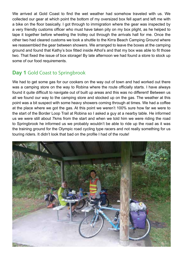We arrived at Gold Coast to find the wet weather had somehow traveled with us. We collected our gear at which point the bottom of my oversized box fell apart and left me with a bike on the floor basically. I got through to immigration where the gear was inspected by a very friendly customs officer who must have taken pity on my box plight, as he helped to tape it together before wheeling the trolley out through the arrivals hall for me. Once the other two had cleared customs we took a shuttle to the Kirra Beach Camping Ground where we reassembled the gear between showers. We arranged to leave the boxes at the camping ground and found that Kathy's box fitted inside Athol's and that my box was able to fit those two. That fixed the issue of box storage! By late afternoon we had found a store to stock up some of our food requirements.

## **Day 1** Gold Coast to Springbrook

We had to get some gas for our cookers on the way out of town and had worked out there was a camping store on the way to Robina where the route officially starts. I have always found it quite difficult to navigate out of built up areas and this was no different! Between us all we found our way to the camping store and stocked up on the gas. The weather at this point was a bit suspect with some heavy showers coming through at times. We had a coffee at the place where we got the gas. At this point we weren't 100% sure how far we were to the start of the Border Loop Trail at Robina so I asked a guy at a nearby table. He informed us we were still about 7kms from the start and when we told him we were riding the road to Springbrook he informed us we probably wouldn't be able to ride up the road as it was the training ground for the Olympic road cycling type racers and not really something for us touring riders. It didn't look that bad on the profile I had of the route!

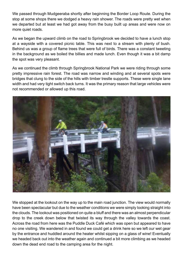We passed through Mudgeeraba shortly after beginning the Border Loop Route. During the stop at some shops there we dodged a heavy rain shower. The roads were pretty wet when we departed but at least we had got away from the busy built up areas and were now on more quiet roads.

As we began the upward climb on the road to Springbrook we decided to have a lunch stop at a wayside with a covered picnic table. This was next to a stream with plenty of bush. Behind us was a group of flame trees that were full of birds. There was a constant tweeting in the background as we boiled the billies and made lunch. Even though it was a bit damp the spot was very pleasant.

As we continued the climb through Springbrook National Park we were riding through some pretty impressive rain forest. The road was narrow and winding and at several spots were bridges that clung to the side of the hills with timber trestle supports. These were single lane width and had very tight switch back turns. It was the primary reason that large vehicles were not recommended or allowed up this road.



We stopped at the lookout on the way up to the main road junction. The view would normally have been spectacular but due to the weather conditions we were simply looking straight into the clouds. The lookout was positioned on quite a bluff and there was an almost perpendicular drop to the creek down below that twisted its way through the valley towards the coast. Across the road from here was the Puddle Duck Café which was open but appeared to have no one visiting. We wandered in and found we could get a drink here so we left our wet gear by the entrance and huddled around the heater whilst sipping on a glass of wine! Eventually we headed back out into the weather again and continued a bit more climbing as we headed down the dead end road to the camping area for the night.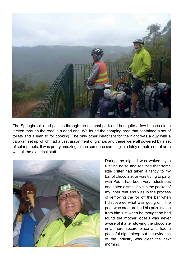

The Springbrook road passes through the national park and has quite a few houses along it even through the road is a dead end. We found the camping area that contained a set of toilets and a lean to for cooking. The only other inhabitant for the night was a guy with a caravan set up which had a vast assortment of gizmos and these were all powered by a set of solar panels. It was pretty amazing to see someone camping in a fairly remote sort of area with all the electrical stuff.



During the night I was woken by a rustling noise and realized that some little critter had taken a fancy to my bar of chocolate, or was trying to party with Pai. It had been very industrious and eaten a small hole in the pocket of my inner tent and was in the process of removing the foil off the bar when I discovered what was going on. The poor wee creature had his prize stolen from him just when he thought he had found the mother lode! I was never aware of it after stowing the chocolate in a more secure place and had a peaceful night sleep but the evidence of the industry was clear the next morning.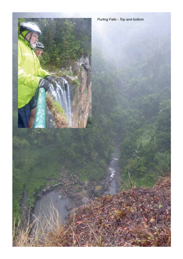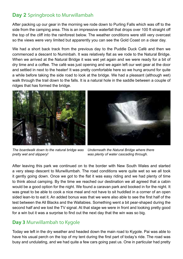### **Day 2** Springbrook to Murwillambah

After packing up our gear in the morning we rode down to Purling Falls which was off to the side from the camping area. This is an impressive waterfall that drops over 100 ft straight off the top of the cliff into the rainforest below. The weather conditions were still very overcast so the views were very limited but apparently you can see the Gold Coast on a clear day.

We had a short back track from the previous day to the Puddle Duck Café and then we commenced a descent to Numinbah. It was relatively flat as we rode to the Natural Bridge. When we arrived at the Natural Bridge it was wet yet again and we were ready for a bit of dry time and a coffee. The café was just opening and we again left our wet gear at the door and settled in next to the heater! It was pretty comfortable here so we hung around for quite a while before taking the side road to look at the bridge. We had a pleasant (although wet) walk through the trail down to the falls. It is a natural hole in the saddle between a couple of ridges that has formed the bridge.





*The boardwalk down to the natural bridge was pretty wet and slippery!*

*Underneath the Natural Bridge where there was plenty of water cascading through.*

After leaving this park we continued on to the border with New South Wales and started a very steep descent to Murwillumbah. The road conditions were quite wet so we all took it gently going down. Once we got to the flat it was easy riding and we had plenty of time to think about camping. By the time we reached our destination we all agreed that a cabin would be a good option for the night. We found a caravan park and booked in for the night. It was great to be able to cook a nice meal and not have to sit huddled in a corner of an open sided lean-to to eat it. An added bonus was that we were also able to see the first half of the test between the All Blacks and the Wallabies. Something went a bit pear-shaped during the second half and we lost the TV signal. At that stage we were in front and looking pretty good for a win but it was a surprise to find out the next day that the win was so big.

#### **Day 3** Murwillambah to Kygole

Today we left in the dry weather and headed down the main road to Kygole. Pai was able to have his usual perch on the top of my tent during the first part of today's ride. The road was busy and undulating, and we had quite a few cars going past us. One in particular had pretty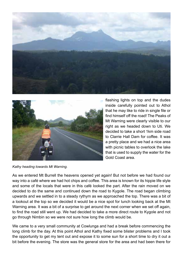



flashing lights on top and the dudes inside carefully pointed out to Athol that he may like to ride in single file or find himself off the road! The Peaks of Mt Warning were clearly visible to our right as we headed down to Uti. We decided to take a short 1km side road to Clarrie Hall Dam for coffee. It was a pretty place and we had a nice area with picnic tables to overlook the lake that is used to supply the water for the Gold Coast area.

*Kathy heading towards Mt Warning.*

As we entered Mt Burrell the heavens opened yet again! But not before we had found our way into a café where we had hot chips and coffee. This area is known for its hippie life style and some of the locals that were in this café looked the part. After the rain moved on we decided to do the same and continued down the road to Kygole. The road began climbing upwards and we settled in to a steady rythym as we approached the top. There was a bit of a lookout at the top so we decided it would be a nice spot for lunch looking back at the Mt Warning area. It was a bit of a surprise to get around the next corner when we set off again, to find the road still went up. We had decided to take a more direct route to Kygole and not go through Nimbin so we were not sure how long the climb would be.

We came to a very small community at Cowlunga and had a break before commencing the long climb for the day. At this point Athol and Kathy fixed some blister problems and I took the opportunity to get my tent out and expose it to some sun for a short time to dry it out a bit before the evening. The store was the general store for the area and had been there for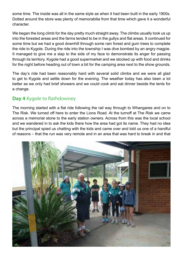some time. The inside was all in the same style as when it had been built in the early 1900s. Dotted around the store was plenty of memorabilia from that time which gave it a wonderful character.

We began the long climb for the day pretty much straight away. The climbs usually took us up into the forested areas and the farms tended to be in the gullys and flat areas. It continued for some time but we had a good downhill through some rain forest and gum trees to complete the ride to Kygole. During the ride into the township I was dive bombed by an angry magpie. It managed to give me a slap to the side of my face to demonstrate its anger for passing through its territory. Kygole had a good supermarket and we stocked up with food and drinks for the night before heading out of town a bit for the camping area next to the show grounds.

The day's ride had been reasonably hard with several solid climbs and we were all glad to get to Kygole and settle down for the evening. The weather today has also been a lot better as we only had brief showers and we could cook and eat dinner beside the tents for a change.

#### **Day 4** Kygole to Rathdowney

The morning started with a flat ride following the rail way through to Whangaree and on to The Risk. We turned off here to enter the Lions Road. At the turnoff at The Risk we came across a memorial stone to the early station owners. Across from this was the local school and we wandered in to ask the kids there how the area had got its name. They had no idea but the principal spied us chatting with the kids and came over and told us one of a handful of reasons – that the run was very remote and in an area that was hard to break in and that

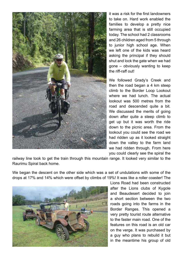

it was a risk for the first landowners to take on. Hard work enabled the families to develop a pretty nice farming area that is still occupied today. The school had 2 classrooms and 26 children aged from 5 through to junior high school age. When we left one of the kids was heard asking the principal if they should shut and lock the gate when we had gone – obviously wanting to keep the riff-raff out!

We followed Grady's Creek and then the road began a 4 km steep climb to the Border Loop Lookout where we had lunch. The actual lookout was 500 metres from the road and descended quite a bit. We discussed the merits of going down after quite a steep climb to get up but it was worth the ride down to the picnic area. From the lookout you could see the road we had ridden up as it looked straight down the valley to the farm land we had ridden through. From here you could clearly see the spiral the

railway line took to get the train through this mountain range. It looked very similar to the Raurimu Spiral back home.

We began the descent on the other side which was a set of undulations with some of the drops at 17% and 14% which were offset by climbs of 19%! It was like a roller coaster! The



Lions Road had been constructed after the Lions clubs of Kygole and Beaudesert decided to join a short section between the two roads going into the farms in the Border Ranges. This opened a very pretty tourist route alternative to the faster main road. One of the features on this road is an old car on the verge. It was purchased by a guy who plans to rebuild it but in the meantime his group of old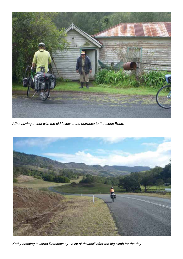

*Athol having a chat with the old fellow at the entrance to the Lions Road.*



*Kathy heading towards Rathdowney - a lot of downhill after the big climb for the day!*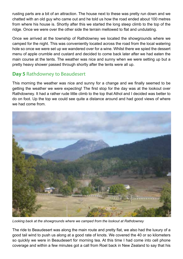rusting parts are a bit of an attraction. The house next to these was pretty run down and we chatted with an old guy who came out and he told us how the road ended about 100 metres from where his house is. Shortly after this we started the long steep climb to the top of the ridge. Once we were over the other side the terrain mellowed to flat and undulating.

Once we arrived at the township of Rathdowney we located the showgrounds where we camped for the night. This was conveniently located across the road from the local watering hole so once we were set up we wandered over for a wine. Whilst there we spied the dessert menu of apple crumble and custard and decided to come back later after we had eaten the main course at the tents. The weather was nice and sunny when we were setting up but a pretty heavy shower passed through shortly after the tents were all up.

#### **Day 5** Rathdowney to Beaudesert

This morning the weather was nice and sunny for a change and we finally seemed to be getting the weather we were expecting! The first stop for the day was at the lookout over Rathdowney. It had a rather rude little climb to the top that Athol and I decided was better to do on foot. Up the top we could see quite a distance around and had good views of where we had come from.



*Looking back at the showgrounds where we camped from the lookout at Rathdowney*

The ride to Beaudesert was along the main route and pretty flat, we also had the luxury of a good tail wind to push us along at a good rate of knots. We covered the 40 or so kilometers so quickly we were in Beaudesert for morning tea. At this time I had come into cell phone coverage and within a few minutes got a call from Roel back in New Zealand to say that his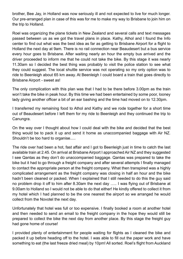brother, Bee Jay, in Holland was now seriously ill and not expected to live for much longer. Our pre-arranged plan in case of this was for me to make my way to Brisbane to join him on the trip to Holland.

Roel was organizing the plane tickets in New Zealand and several calls and text messages passed between us as we got the travel plans in place. Kathy, Athol and I found the Info center to find out what was the best idea as far as getting to Brisbane Airport for a flight to Holland the next day at 9am. There is no rail connection near Beaudesert but a bus service every hour goes to Brisbane. After waiting nearly an hour the empty bus arrived and the driver proceeded to inform me that he could not take the bike. By this stage it was nearly 11.30am so I decided the best thing was probably to visit the police station to see what they could suggest. The local shuttle service was not operating so my only option was to ride to Beenleigh about 65 km away. At Beenleigh I could board a train that goes directly to Brisbane Airport - sweet as!

The only complication with this plan was that I had to be there before 3.00pm as the train won't take the bike in peak hour. By this time we had been entertained by some poor, looney lady giving another officer a bit of an ear bashing and the time had moved on to 12.30pm.

I transferred my remaining food to Athol and Kathy and we rode together for a short time out of Beaudesert before I left them for my ride to Beenleigh and they continued the trip to Canungra.

On the way over I thought about how I could deal with the bike and decided that the best thing would be to pack it up and send it home as unaccompanied baggage with Air NZ. Shouldn't be too hard to organise.....

The ride over had been a hot, fast affair and I got to Beenleigh just in time to catch the last available train at 2.45. On arrival at Brisbane Airport I approached Air NZ and they suggested I see Qantas as they don't do unaccompanied baggage. Qantas was prepared to take the bike but it had to go through a freight company and after several attempts I finally managed to contact the appropriate person at the freight company. What then transpired was a highly complicated arrangement as the freight company was closing in half an hour and the bike hadn't been cleaned or packed. When I explained that I still needed to do this the guy said no problem drop it off to him after 8.30am the next day ….. I was flying out of Brisbane at 9.00am to Holland so I would not be able to do that either! He kindly offered to collect it from my hotel which I had planned to be the one nearest the airport so we arranged he would collect from the Novotel the next day.

Unfortunately that hotel was full or too expensive. I finally booked a room at another hotel and then needed to send an email to the freight company in the hope they would still be prepared to collect the bike the next day from another place. By this stage the freight guy had gone home of course!

I provided plenty of entertainment for people waiting for flights as I cleaned the bike and packed it up before heading off to the hotel. I was able to fill out the paper work and have something to eat (the last freeze dried meal) by 10pm! All sorted. Roel's flight from Auckland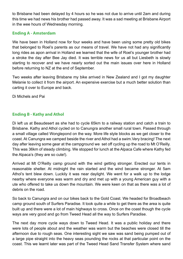to Brisbane had been delayed by 4 hours so he was not due to arrive until 2am and during this time we had news his brother had passed away. It was a sad meeting at Brisbane Airport in the wee hours of Wednesday morning.

#### **Ending A - Amsterdam**

We have been in Holland now for four weeks and have been using some pretty old bikes that belonged to Roel's parents as our means of travel. We have not had any significantly long rides as apon arrival in Holland we learned that the wife of Roel's younger brother had a stroke the day after Bee Jay died. It was terrible news for us all but Liesbeth is slowly starting to recover and we have nearly sorted out the main issues over here in Holland before returning to NZ at the end of September.

Two weeks after leaving Brisbane my bike arrived in New Zealand and I got my daughter Melanie to collect it from the airport. An expensive exercise but a much better solution than carting it over to Europe and back.

Di Michels and Pai

#### **Ending B - Kathy and Athol**

Di left us at Beaudesert as she had to cycle 65km to a railway station and catch a train to Brisbane. Kathy and Athol cycled on to Canungra another small rural town. Passed through a small village called Wonglepond on the way. More life style blocks as we get closer to the coast. At Canungra we camped beside the river and Athol had a swim.Very bracing! The next day after leaving some gear at the campground we set off cycling up the road to Mt O'Reilly. This was 36km of steady climbing. We stopped for lunch at the Alpaca Cafe where Kathy fed the Alpaca's (they are so cute!).

Arrived at Mt O'Reilly camp ground with the wind getting stronger. Erected our tents in reasonable shelter. At midnight the rain started and the wind became stronger. At 5am Athol's tent blew down. Luckily it was near daylight. We went for a walk up to the lodge nearby where everyone was warm and dry and met up with a young American guy with a ute who offered to take us down the mountain. We were keen on that as there was a lot of debris on the road.

So back to Canungra and on our bikes back to the Gold Coast. We headed for Broadbeach camp ground south of Surfers Paradise. It took quite a while to get there as the area is quite built up and there were a lot of main highways to cross. Once on the coast though the cycle ways are very good and go from Tweed Head all the way to Surfers Paradise.

The next day more cycle ways down to Tweed Head. It was a public holiday and there were lots of people about and the weather was warm but the beaches were closed till the afternoon due to rough seas. One interesting sight we saw was sand being pumped out of a large pipe straight into the heavy seas pounding the rocks at that particular point on the coast. This we learnt later was part of the Tweed Head Sand Transfer System where sand